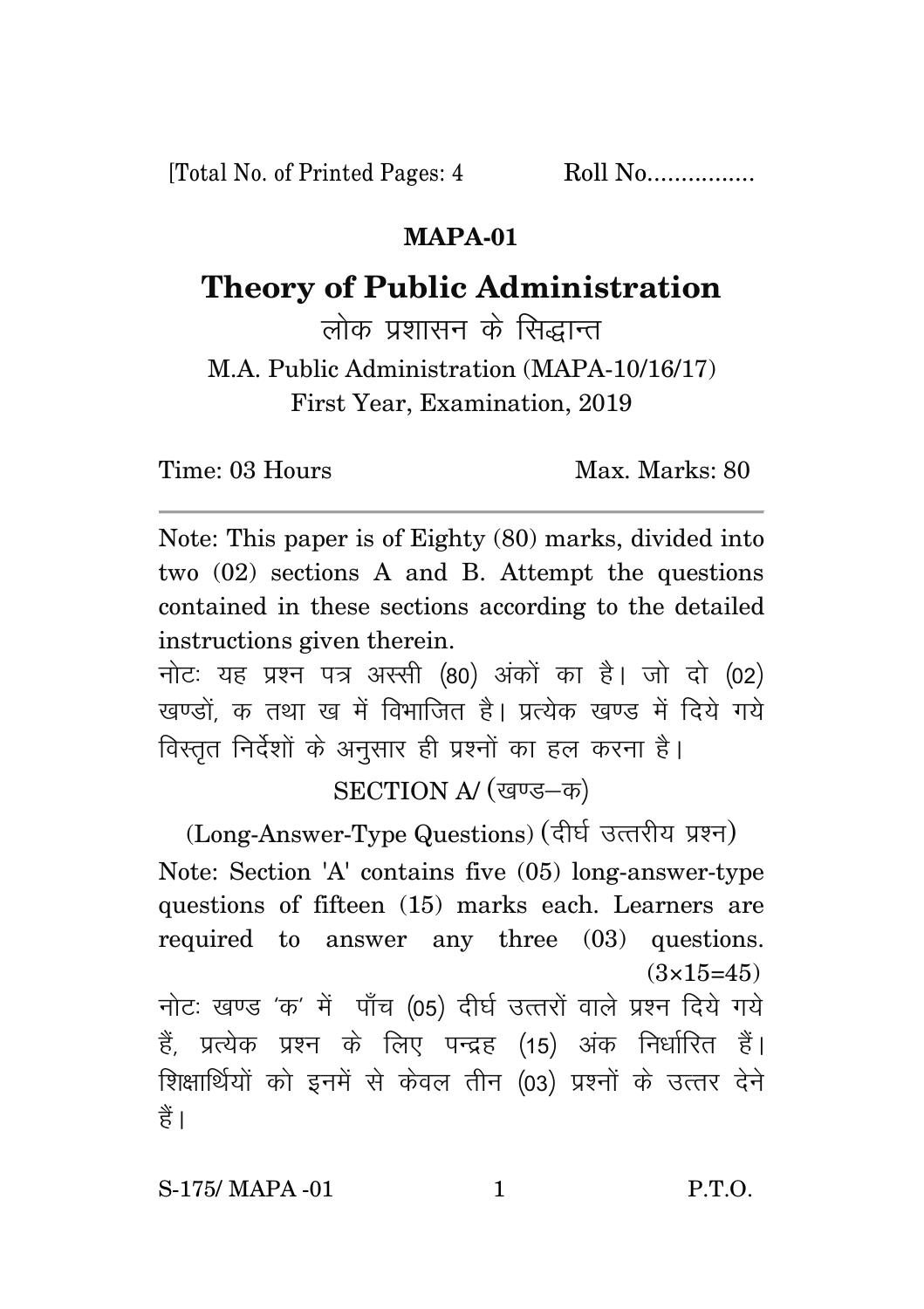[Total No. of Printed Pages: 4 Roll No.................

## **MAPA-01**

## **Theory of Public Administration**

लोक प्रशासन के सिद्धान्त

M.A. Public Administration (MAPA-10/16/17) First Year, Examination, 2019

Time: 03 Hours Max. Marks: 80

Note: This paper is of Eighty (80) marks, divided into two (02) sections A and B. Attempt the questions contained in these sections according to the detailed instructions given therein.

नोटः यह प्रश्न पत्र अस्सी (80) अंकों का है। जो दो (02) खण्डों क तथा ख में विभाजित है। प्रत्येक खण्ड में दिये गये विस्तृत निर्देशों के अनुसार ही प्रश्नों का हल करना है।

SECTION A/ (खण्ड-क)

(Long-Answer-Type Questions) (दीर्घ उत्तरीय प्रश्न) Note: Section 'A' contains five (05) long-answer-type questions of fifteen (15) marks each. Learners are required to answer any three (03) questions.  $(3\times15=45)$ नोटः खण्ड 'क' में पाँच (05) दीर्घ उत्तरों वाले प्रश्न दिये गये हैं, प्रत्येक प्रश्न के लिए पन्द्रह (15) अंक निर्धारित हैं। शिक्षार्थियों को इनमें से केवल तीन (03) प्रश्नों के उत्तर देने हैं ।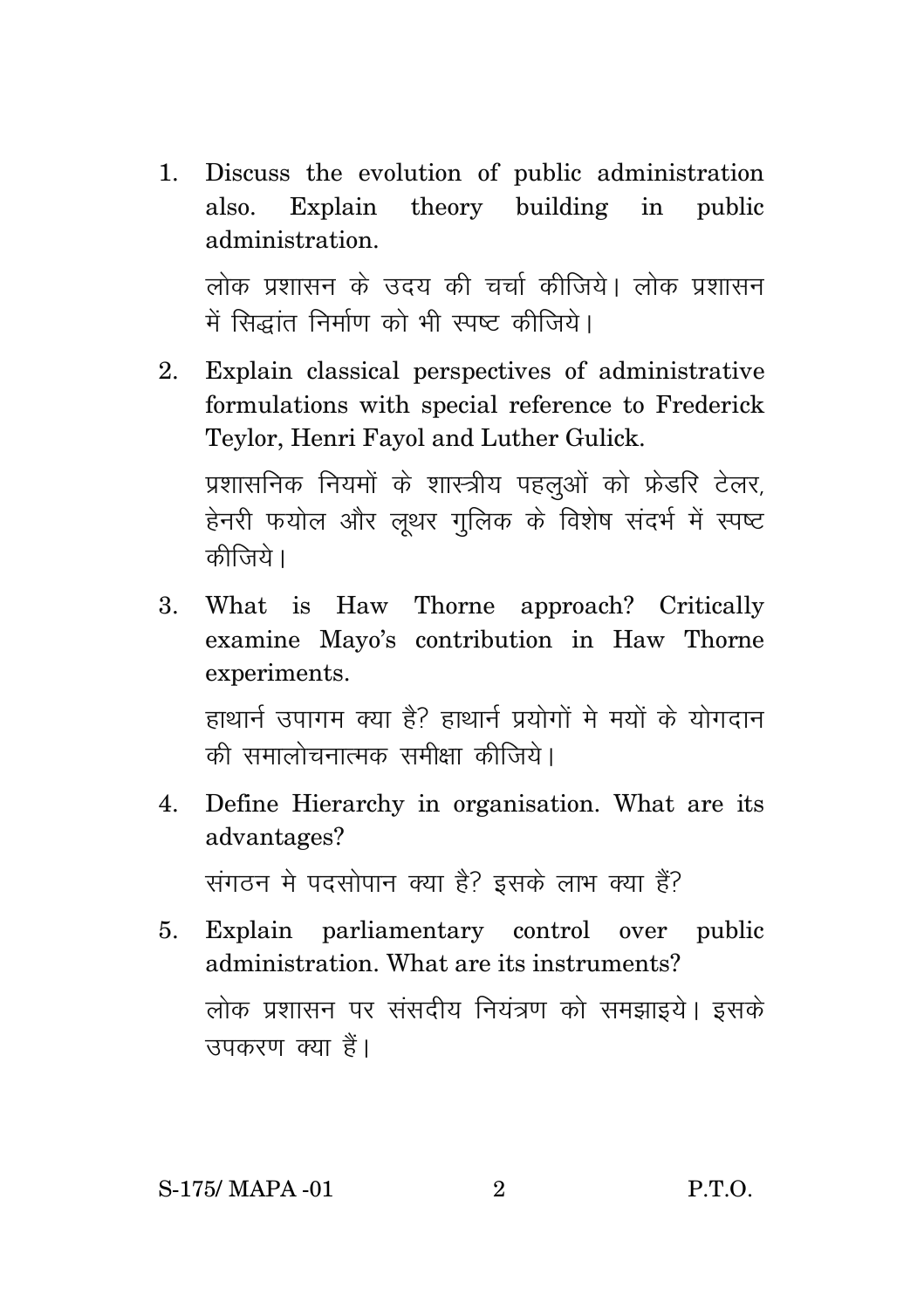1. Discuss the evolution of public administration also. Explain theory building in public administration.

लोक प्रशासन के उदय की चर्चा कीजिये। लोक प्रशासन .<br>में सिद्धांत निर्माण को भी स्पष्ट कीजिये।

- 2. Explain classical perspectives of administrative formulations with special reference to Frederick Teylor, Henri Fayol and Luther Gulick. प्रशासनिक नियमों के शास्त्रीय पहलुओं को फ्रेडरि टेलर. हेनरी फयोल और लुथर गुलिक के विशेष संदर्भ में स्पष्ट कीजिये ।
- 3. What is Haw Thorne approach? Critically examine Mayo's contribution in Haw Thorne experiments.

हाथार्न उपागम क्या है? हाथार्न प्रयोगों मे मयों के योगदान की समालोचनात्मक समीक्षा कीजिये।

4. Define Hierarchy in organisation. What are its advantages?

संगठन मे पदसोपान क्या है? इसके लाभ क्या हैं?

5. Explain parliamentary control over public administration. What are its instruments? लोक प्रशासन पर संसदीय नियंत्रण को समझाइये। इसके उपकरण क्या हैं।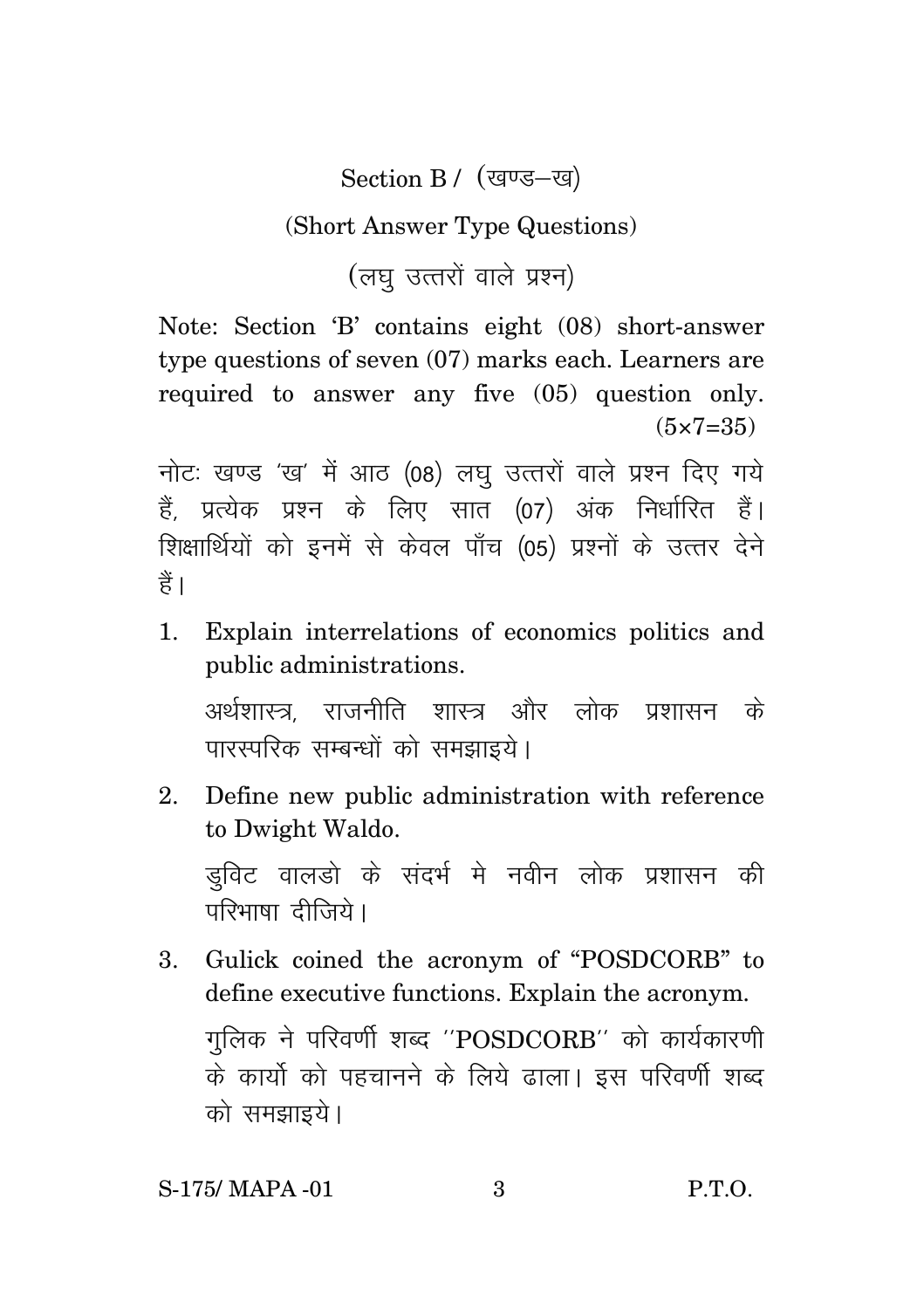Section B / (खण्ड-ख)

(Short Answer Type Questions)

(लघु उत्तरों वाले प्रश्न)

Note: Section 'B' contains eight (08) short-answer type questions of seven (07) marks each. Learners are required to answer any five (05) question only.  $(5 \times 7 = 35)$ 

नोटः खण्ड 'ख' में आठ (08) लघ उत्तरों वाले प्रश्न दिए गये हैं, प्रत्येक प्रश्न के लिए सात (07) अंक निर्धारित हैं। शिक्षार्थियों को इनमें से केवल पाँच (05) प्रश्नों के उत्तर देने हैं।

1. Explain interrelations of economics politics and public administrations.

अर्थशास्त्र राजनीति शास्त्र और लोक प्रशासन के पारस्परिक सम्बन्धों को समझाइये।

2. Define new public administration with reference to Dwight Waldo.

ड़विट वालडो के संदर्भ मे नवीन लोक प्रशासन की परिभाषा दीजिये।

3. Gulick coined the acronym of "POSDCORB" to define executive functions. Explain the acronym. गुलिक ने परिवर्णी शब्द '' $\overline{POSDCORB}$ '' को कार्यकारणी के कार्यो को पहचानने के लिये ढाला। इस परिवर्णी शब्द को समझाइये।

S-175/ MAPA -01 3 P.T.O.